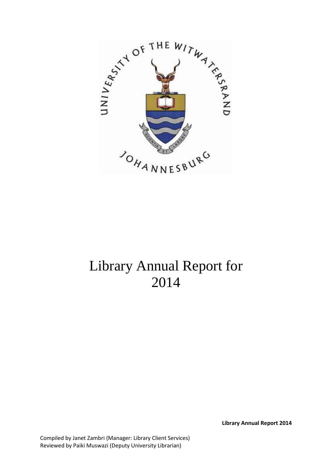

# Library Annual Report for 2014

**Library Annual Report 2014**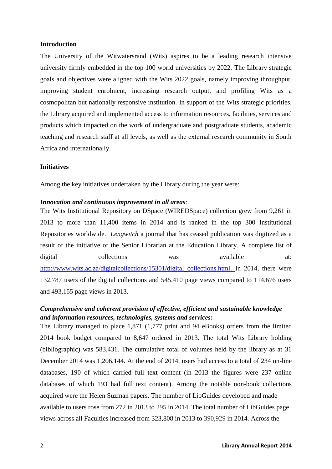#### **Introduction**

The University of the Witwatersrand (Wits) aspires to be a leading research intensive university firmly embedded in the top 100 world universities by 2022. The Library strategic goals and objectives were aligned with the Wits 2022 goals, namely improving throughput, improving student enrolment, increasing research output, and profiling Wits as a cosmopolitan but nationally responsive institution. In support of the Wits strategic priorities, the Library acquired and implemented access to information resources, facilities, services and products which impacted on the work of undergraduate and postgraduate students, academic teaching and research staff at all levels, as well as the external research community in South Africa and internationally.

#### **Initiatives**

Among the key initiatives undertaken by the Library during the year were:

#### *Innovation and continuous improvement in all areas*:

The Wits Institutional Repository on DSpace (WIREDSpace) collection grew from 9,261 in 2013 to more than 11,400 items in 2014 and is ranked in the top 300 Institutional Repositories worldwide. *Lengwitch* a journal that has ceased publication was digitized as a result of the initiative of the Senior Librarian at the Education Library. A complete list of digital collections was available at: [http://www.wits.ac.za/digitalcollections/15301/digital\\_collections.html.](http://www.wits.ac.za/digitalcollections/15301/digital_collections.html) In 2014, there were 132,787 users of the digital collections and 545,410 page views compared to 114,676 users and 493,155 page views in 2013.

## *Comprehensive and coherent provision of effective, efficient and sustainable knowledge and information resources, technologies, systems and services***:**

The Library managed to place 1,871 (1,777 print and 94 eBooks) orders from the limited 2014 book budget compared to 8,647 ordered in 2013. The total Wits Library holding (bibliographic) was 583,431. The cumulative total of volumes held by the library as at 31 December 2014 was 1,206,144. At the end of 2014, users had access to a total of 234 on-line databases, 190 of which carried full text content (in 2013 the figures were 237 online databases of which 193 had full text content). Among the notable non-book collections acquired were the Helen Suzman papers. The number of LibGuides developed and made available to users rose from 272 in 2013 to 295 in 2014. The total number of LibGuides page views across all Faculties increased from 323,808 in 2013 to 390,929 in 2014. Across the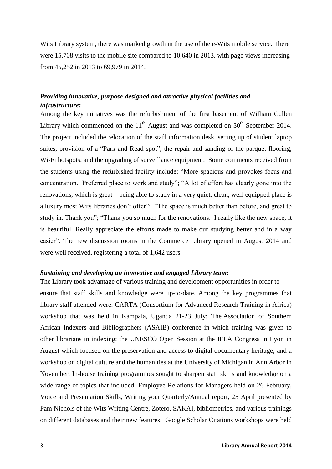Wits Library system, there was marked growth in the use of the e-Wits mobile service. There were 15,708 visits to the mobile site compared to 10,640 in 2013, with page views increasing from 45,252 in 2013 to 69,979 in 2014.

## *Providing innovative, purpose-designed and attractive physical facilities and infrastructure***:**

Among the key initiatives was the refurbishment of the first basement of William Cullen Library which commenced on the  $11<sup>th</sup>$  August and was completed on  $30<sup>th</sup>$  September 2014. The project included the relocation of the staff information desk, setting up of student laptop suites, provision of a "Park and Read spot", the repair and sanding of the parquet flooring, Wi-Fi hotspots, and the upgrading of surveillance equipment. Some comments received from the students using the refurbished facility include: "More spacious and provokes focus and concentration. Preferred place to work and study"; "A lot of effort has clearly gone into the renovations, which is great – being able to study in a very quiet, clean, well-equipped place is a luxury most Wits libraries don't offer"; "The space is much better than before, and great to study in. Thank you"; "Thank you so much for the renovations. I really like the new space, it is beautiful. Really appreciate the efforts made to make our studying better and in a way easier". The new discussion rooms in the Commerce Library opened in August 2014 and were well received, registering a total of 1,642 users.

## *Sustaining and developing an innovative and engaged Library team***:**

The Library took advantage of various training and development opportunities in order to ensure that staff skills and knowledge were up-to-date. Among the key programmes that library staff attended were: CARTA (Consortium for Advanced Research Training in Africa) workshop that was held in Kampala, Uganda 21-23 July; The Association of Southern African Indexers and Bibliographers **(**ASAIB) conference in which training was given to other librarians in indexing; the UNESCO Open Session at the IFLA Congress in Lyon in August which focused on the preservation and access to digital documentary heritage; and a workshop on digital culture and the humanities at the University of Michigan in Ann Arbor in November. In-house training programmes sought to sharpen staff skills and knowledge on a wide range of topics that included: Employee Relations for Managers held on 26 February, Voice and Presentation Skills, Writing your Quarterly/Annual report, 25 April presented by Pam Nichols of the Wits Writing Centre, Zotero, SAKAI, bibliometrics, and various trainings on different databases and their new features. Google Scholar Citations workshops were held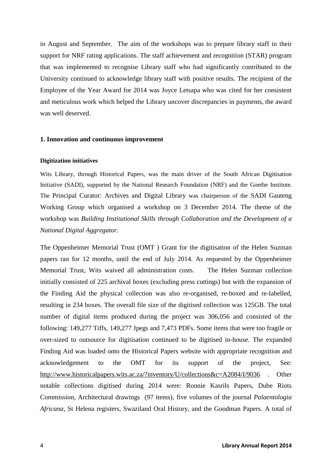in August and September. The aim of the workshops was to prepare library staff in their support for NRF rating applications. The staff achievement and recognition (STAR) program that was implemented to recognise Library staff who had significantly contributed to the University continued to acknowledge library staff with positive results. The recipient of the Employee of the Year Award for 2014 was Joyce Letsapa who was cited for her consistent and meticulous work which helped the Library uncover discrepancies in payments, the award was well deserved.

#### **1. Innovation and continuous improvement**

#### **Digitization initiatives**

Wits Library, through Historical Papers, was the main driver of the South African Digitisation Initiative (SADI), supported by the National Research Foundation (NRF) and the Goethe Institute. The Principal Curator: Archives and Digital Library was chairperson of the SADI Gauteng Working Group which organised a workshop on 3 December 2014. The theme of the workshop was *Building Institutional Skills through Collaboration and the Development of a National Digital Aggregator*.

The Oppenheimer Memorial Trust (OMT ) Grant for the digitisation of the Helen Suzman papers ran for 12 months, until the end of July 2014. As requested by the Oppenheimer Memorial Trust, Wits waived all administration costs. The Helen Suzman collection initially consisted of 225 archival boxes (excluding press cuttings) but with the expansion of the Finding Aid the physical collection was also re-organised, re-boxed and re-labelled, resulting in 234 boxes. The overall file size of the digitised collection was 125GB. The total number of digital items produced during the project was 306,056 and consisted of the following: 149,277 Tiffs, 149,277 Jpegs and 7,473 PDFs. Some items that were too fragile or over-sized to outsource for digitisation continued to be digitised in-house. The expanded Finding Aid was loaded onto the Historical Papers website with appropriate recognition and acknowledgement to the OMT for its support of the project, See: <http://www.historicalpapers.wits.ac.za/?inventory/U/collections&c=A2084/I/9036> . Other notable collections digitised during 2014 were: Ronnie Kasrils Papers, Dube Riots Commission, Architectural drawings (97 items), five volumes of the journal *Palaentologia Africana*, St Helena registers, Swaziland Oral History, and the Goodman Papers. A total of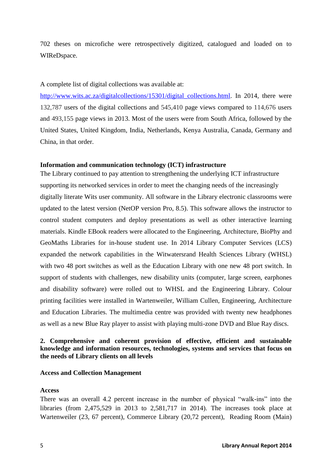702 theses on microfiche were retrospectively digitized, catalogued and loaded on to WIReDspace.

#### A complete list of digital collections was available at:

[http://www.wits.ac.za/digitalcollections/15301/digital\\_collections.html.](http://www.wits.ac.za/digitalcollections/15301/digital_collections.html) In 2014, there were 132,787 users of the digital collections and 545,410 page views compared to 114,676 users and 493,155 page views in 2013. Most of the users were from South Africa, followed by the United States, United Kingdom, India, Netherlands, Kenya Australia, Canada, Germany and China, in that order.

#### **Information and communication technology (ICT) infrastructure**

The Library continued to pay attention to strengthening the underlying ICT infrastructure supporting its networked services in order to meet the changing needs of the increasingly digitally literate Wits user community. All software in the Library electronic classrooms were updated to the latest version (NetOP version Pro, 8.5). This software allows the instructor to control student computers and deploy presentations as well as other interactive learning materials. Kindle EBook readers were allocated to the Engineering, Architecture, BioPhy and GeoMaths Libraries for in-house student use. In 2014 Library Computer Services (LCS) expanded the network capabilities in the Witwatersrand Health Sciences Library (WHSL) with two 48 port switches as well as the Education Library with one new 48 port switch. In support of students with challenges, new disability units (computer, large screen, earphones and disability software) were rolled out to WHSL and the Engineering Library. Colour printing facilities were installed in Wartenweiler, William Cullen, Engineering, Architecture and Education Libraries. The multimedia centre was provided with twenty new headphones as well as a new Blue Ray player to assist with playing multi-zone DVD and Blue Ray discs.

## **2. Comprehensive and coherent provision of effective, efficient and sustainable knowledge and information resources, technologies, systems and services that focus on the needs of Library clients on all levels**

#### **Access and Collection Management**

#### **Access**

There was an overall 4.2 percent increase in the number of physical "walk-ins" into the libraries (from 2,475,529 in 2013 to 2,581,717 in 2014). The increases took place at Wartenweiler (23, 67 percent), Commerce Library (20,72 percent), Reading Room (Main)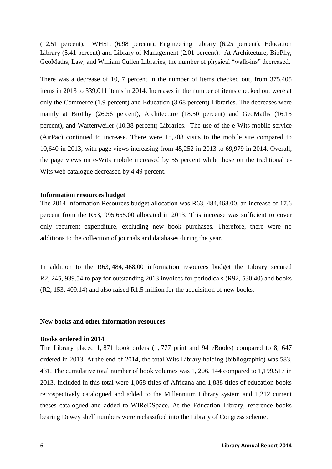(12,51 percent), WHSL (6.98 percent), Engineering Library (6.25 percent), Education Library (5.41 percent) and Library of Management (2.01 percent). At Architecture, BioPhy, GeoMaths, Law, and William Cullen Libraries, the number of physical "walk-ins" decreased.

There was a decrease of 10, 7 percent in the number of items checked out, from 375,405 items in 2013 to 339,011 items in 2014. Increases in the number of items checked out were at only the Commerce (1.9 percent) and Education (3.68 percent) Libraries. The decreases were mainly at BioPhy (26.56 percent), Architecture (18.50 percent) and GeoMaths (16.15 percent), and Wartenweiler (10.38 percent) Libraries. The use of the e-Wits mobile service (AirPac) continued to increase. There were 15,708 visits to the mobile site compared to 10,640 in 2013, with page views increasing from 45,252 in 2013 to 69,979 in 2014. Overall, the page views on e-Wits mobile increased by 55 percent while those on the traditional e-Wits web catalogue decreased by 4.49 percent.

#### **Information resources budget**

The 2014 Information Resources budget allocation was R63, 484,468.00, an increase of 17.6 percent from the R53, 995,655.00 allocated in 2013. This increase was sufficient to cover only recurrent expenditure, excluding new book purchases. Therefore, there were no additions to the collection of journals and databases during the year.

In addition to the R63, 484, 468.00 information resources budget the Library secured R2, 245, 939.54 to pay for outstanding 2013 invoices for periodicals (R92, 530.40) and books (R2, 153, 409.14) and also raised R1.5 million for the acquisition of new books.

#### **New books and other information resources**

#### **Books ordered in 2014**

The Library placed 1, 871 book orders (1, 777 print and 94 eBooks) compared to 8, 647 ordered in 2013. At the end of 2014, the total Wits Library holding (bibliographic) was 583, 431. The cumulative total number of book volumes was 1, 206, 144 compared to 1,199,517 in 2013. Included in this total were 1,068 titles of Africana and 1,888 titles of education books retrospectively catalogued and added to the Millennium Library system and 1,212 current theses catalogued and added to WIReDSpace. At the Education Library, reference books bearing Dewey shelf numbers were reclassified into the Library of Congress scheme.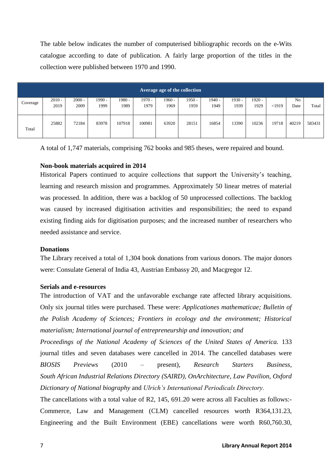The table below indicates the number of computerised bibliographic records on the e-Wits catalogue according to date of publication. A fairly large proportion of the titles in the collection were published between 1970 and 1990.

| Average age of the collection |          |          |          |        |        |        |        |          |          |          |       |       |        |
|-------------------------------|----------|----------|----------|--------|--------|--------|--------|----------|----------|----------|-------|-------|--------|
|                               | $2010 -$ | $2000 -$ | $1990 -$ | 1980 - | 1970 - | 1960 - | 1950 - | $1940 -$ | $1930 -$ | $1920 -$ |       | No    |        |
| Coverage                      | 2019     | 2009     | 1999     | 1989   | 1979   | 1969   | 1959   | 1949     | 1939     | 1929     | <1919 | Date  | Total  |
| Total                         | 25882    | 72184    | 83978    | 107918 | 100981 | 63920  | 28151  | 16854    | 13390    | 10236    | 19718 | 40219 | 583431 |

A total of 1,747 materials, comprising 762 books and 985 theses, were repaired and bound.

#### **Non-book materials acquired in 2014**

Historical Papers continued to acquire collections that support the University's teaching, learning and research mission and programmes. Approximately 50 linear metres of material was processed. In addition, there was a backlog of 50 unprocessed collections. The backlog was caused by increased digitisation activities and responsibilities; the need to expand existing finding aids for digitisation purposes; and the increased number of researchers who needed assistance and service.

#### **Donations**

The Library received a total of 1,304 book donations from various donors. The major donors were: Consulate General of India 43, Austrian Embassy 20, and Macgregor 12.

#### **Serials and e-resources**

The introduction of VAT and the unfavorable exchange rate affected library acquisitions. Only six journal titles were purchased. These were: *Applicationes mathematicae; Bulletin of the Polish Academy of Sciences; Frontiers in ecology and the environment; Historical materialism; International journal of entrepreneurship and innovation; and* 

*Proceedings of the National Academy of Sciences of the United States of America.* 133 journal titles and seven databases were cancelled in 2014. The cancelled databases were *BIOSIS Previews* (2010 – present), *Research Starters Business, South African Industrial Relations Directory (SAIRD), OnArchitecture, Law Pavilion, Oxford Dictionary of National biography* and *Ulrich's International Periodicals Directory.*

The cancellations with a total value of R2, 145, 691.20 were across all Faculties as follows:- Commerce, Law and Management (CLM) cancelled resources worth R364,131.23, Engineering and the Built Environment (EBE) cancellations were worth R60,760.30,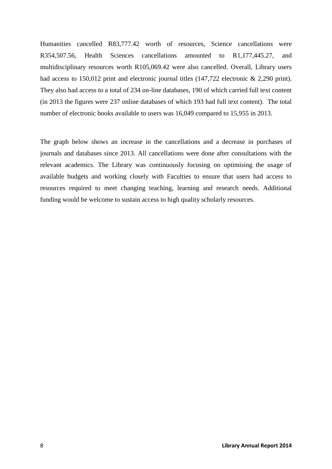Humanities cancelled R83,777.42 worth of resources, Science cancellations were R354,507.56, Health Sciences cancellations amounted to R1,177,445.27, and multidisciplinary resources worth R105,069.42 were also cancelled. Overall, Library users had access to 150,012 print and electronic journal titles (147,722 electronic & 2,290 print). They also had access to a total of 234 on-line databases, 190 of which carried full text content (in 2013 the figures were 237 online databases of which 193 had full text content). The total number of electronic books available to users was 16,049 compared to 15,955 in 2013.

The graph below shows an increase in the cancellations and a decrease in purchases of journals and databases since 2013. All cancellations were done after consultations with the relevant academics. The Library was continuously focusing on optimising the usage of available budgets and working closely with Faculties to ensure that users had access to resources required to meet changing teaching, learning and research needs. Additional funding would be welcome to sustain access to high quality scholarly resources.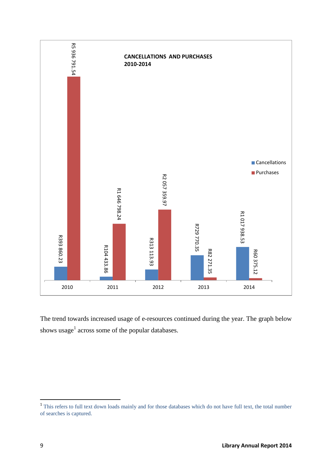

The trend towards increased usage of e-resources continued during the year. The graph below shows usage<sup>1</sup> across some of the popular databases.

<sup>&</sup>lt;sup>1</sup> This refers to full text down loads mainly and for those databases which do not have full text, the total number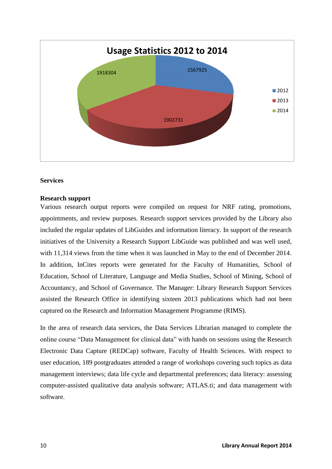

## **Services**

#### **Research support**

Various research output reports were compiled on request for NRF rating, promotions, appointments, and review purposes. Research support services provided by the Library also included the regular updates of LibGuides and information literacy. In support of the research initiatives of the University a Research Support LibGuide was published and was well used, with 11,314 views from the time when it was launched in May to the end of December 2014. In addition, InCites reports were generated for the Faculty of Humanities, School of Education, School of Literature, Language and Media Studies, School of Mining, School of Accountancy, and School of Governance. The Manager: Library Research Support Services assisted the Research Office in identifying sixteen 2013 publications which had not been captured on the Research and Information Management Programme (RIMS).

In the area of research data services, the Data Services Librarian managed to complete the online course "Data Management for clinical data" with hands on sessions using the Research Electronic Data Capture (REDCap) software, Faculty of Health Sciences. With respect to user education, 189 postgraduates attended a range of workshops covering such topics as data management interviews; data life cycle and departmental preferences; data literacy: assessing computer-assisted qualitative data analysis software; ATLAS.ti; and data management with software.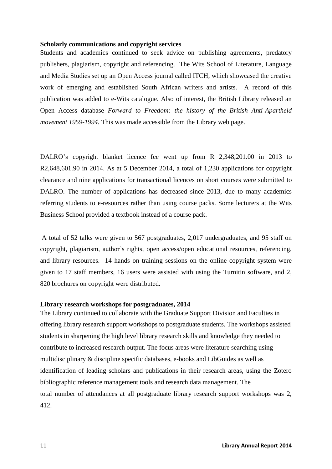#### **Scholarly communications and copyright services**

Students and academics continued to seek advice on publishing agreements, predatory publishers, plagiarism, copyright and referencing. The Wits School of Literature, Language and Media Studies set up an Open Access journal called ITCH, which showcased the creative work of emerging and established South African writers and artists. A record of this publication was added to e-Wits catalogue. Also of interest, the British Library released an Open Access database *Forward to Freedom: the history of the British Anti-Apartheid movement 1959-1994.* This was made accessible from the Library web page.

DALRO's copyright blanket licence fee went up from R 2,348,201.00 in 2013 to R2,648,601.90 in 2014. As at 5 December 2014, a total of 1,230 applications for copyright clearance and nine applications for transactional licences on short courses were submitted to DALRO. The number of applications has decreased since 2013, due to many academics referring students to e-resources rather than using course packs. Some lecturers at the Wits Business School provided a textbook instead of a course pack.

A total of 52 talks were given to 567 postgraduates, 2,017 undergraduates, and 95 staff on copyright, plagiarism, author's rights, open access/open educational resources, referencing, and library resources. 14 hands on training sessions on the online copyright system were given to 17 staff members, 16 users were assisted with using the Turnitin software, and 2, 820 brochures on copyright were distributed.

#### **Library research workshops for postgraduates, 2014**

The Library continued to collaborate with the Graduate Support Division and Faculties in offering library research support workshops to postgraduate students. The workshops assisted students in sharpening the high level library research skills and knowledge they needed to contribute to increased research output. The focus areas were literature searching using multidisciplinary & discipline specific databases, e-books and LibGuides as well as identification of leading scholars and publications in their research areas, using the Zotero bibliographic reference management tools and research data management. The total number of attendances at all postgraduate library research support workshops was 2, 412.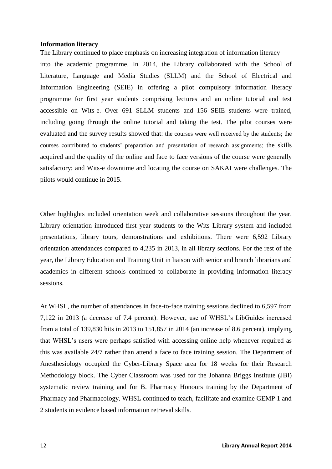#### **Information literacy**

The Library continued to place emphasis on increasing integration of information literacy into the academic programme. In 2014, the Library collaborated with the School of Literature, Language and Media Studies (SLLM) and the School of Electrical and Information Engineering (SEIE) in offering a pilot compulsory information literacy programme for first year students comprising lectures and an online tutorial and test accessible on Wits-e. Over 691 SLLM students and 156 SEIE students were trained, including going through the online tutorial and taking the test. The pilot courses were evaluated and the survey results showed that: the courses were well received by the students; the courses contributed to students' preparation and presentation of research assignments; the skills acquired and the quality of the online and face to face versions of the course were generally satisfactory; and Wits-e downtime and locating the course on SAKAI were challenges. The pilots would continue in 2015.

Other highlights included orientation week and collaborative sessions throughout the year. Library orientation introduced first year students to the Wits Library system and included presentations, library tours, demonstrations and exhibitions. There were 6,592 Library orientation attendances compared to 4,235 in 2013, in all library sections. For the rest of the year, the Library Education and Training Unit in liaison with senior and branch librarians and academics in different schools continued to collaborate in providing information literacy sessions.

At WHSL, the number of attendances in face-to-face training sessions declined to 6,597 from 7,122 in 2013 (a decrease of 7.4 percent). However, use of WHSL's LibGuides increased from a total of 139,830 hits in 2013 to 151,857 in 2014 (an increase of 8.6 percent), implying that WHSL's users were perhaps satisfied with accessing online help whenever required as this was available 24/7 rather than attend a face to face training session. The Department of Anesthesiology occupied the Cyber-Library Space area for 18 weeks for their Research Methodology block. The Cyber Classroom was used for the Johanna Briggs Institute (JBI) systematic review training and for B. Pharmacy Honours training by the Department of Pharmacy and Pharmacology. WHSL continued to teach, facilitate and examine GEMP 1 and 2 students in evidence based information retrieval skills.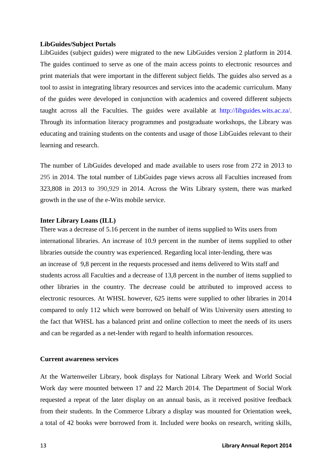#### **LibGuides/Subject Portals**

LibGuides (subject guides) were migrated to the new LibGuides version 2 platform in 2014. The guides continued to serve as one of the main access points to electronic resources and print materials that were important in the different subject fields. The guides also served as a tool to assist in integrating library resources and services into the academic curriculum. Many of the guides were developed in conjunction with academics and covered different subjects taught across all the Faculties. The guides were available at http://libguides.wits.ac.za/. Through its information literacy programmes and postgraduate workshops, the Library was educating and training students on the contents and usage of those LibGuides relevant to their learning and research.

The number of LibGuides developed and made available to users rose from 272 in 2013 to 295 in 2014. The total number of LibGuides page views across all Faculties increased from 323,808 in 2013 to 390,929 in 2014. Across the Wits Library system, there was marked growth in the use of the e-Wits mobile service.

#### **Inter Library Loans (ILL)**

There was a decrease of 5.16 percent in the number of items supplied to Wits users from international libraries. An increase of 10.9 percent in the number of items supplied to other libraries outside the country was experienced. Regarding local inter-lending, there was an increase of 9,8 percent in the requests processed and items delivered to Wits staff and students across all Faculties and a decrease of 13,8 percent in the number of items supplied to other libraries in the country. The decrease could be attributed to improved access to electronic resources. At WHSL however, 625 items were supplied to other libraries in 2014 compared to only 112 which were borrowed on behalf of Wits University users attesting to the fact that WHSL has a balanced print and online collection to meet the needs of its users and can be regarded as a net-lender with regard to health information resources.

#### **Current awareness services**

At the Wartenweiler Library, book displays for National Library Week and World Social Work day were mounted between 17 and 22 March 2014. The Department of Social Work requested a repeat of the later display on an annual basis, as it received positive feedback from their students. In the Commerce Library a display was mounted for Orientation week, a total of 42 books were borrowed from it. Included were books on research, writing skills,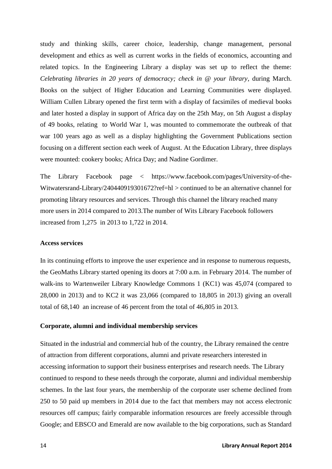study and thinking skills, career choice, leadership, change management, personal development and ethics as well as current works in the fields of economics, accounting and related topics. In the Engineering Library a display was set up to reflect the theme: *Celebrating libraries in 20 years of democracy; check in @ your library*, during March. Books on the subject of Higher Education and Learning Communities were displayed. William Cullen Library opened the first term with a display of facsimiles of medieval books and later hosted a display in support of Africa day on the 25th May, on 5th August a display of 49 books, relating to World War 1, was mounted to commemorate the outbreak of that war 100 years ago as well as a display highlighting the Government Publications section focusing on a different section each week of August. At the Education Library, three displays were mounted: cookery books; Africa Day; and Nadine Gordimer.

The Library Facebook page < https://www.facebook.com/pages/University-of-the-Witwatersrand-Library/240440919301672?ref=hl > continued to be an alternative channel for promoting library resources and services. Through this channel the library reached many more users in 2014 compared to 2013.The number of Wits Library Facebook followers increased from 1,275 in 2013 to 1,722 in 2014.

#### **Access services**

In its continuing efforts to improve the user experience and in response to numerous requests, the GeoMaths Library started opening its doors at 7:00 a.m. in February 2014. The number of walk-ins to Wartenweiler Library Knowledge Commons 1 (KC1) was 45,074 (compared to 28,000 in 2013) and to KC2 it was 23,066 (compared to 18,805 in 2013) giving an overall total of 68,140 an increase of 46 percent from the total of 46,805 in 2013.

#### **Corporate, alumni and individual membership services**

Situated in the industrial and commercial hub of the country, the Library remained the centre of attraction from different corporations, alumni and private researchers interested in accessing information to support their business enterprises and research needs. The Library continued to respond to these needs through the corporate, alumni and individual membership schemes. In the last four years, the membership of the corporate user scheme declined from 250 to 50 paid up members in 2014 due to the fact that members may not access electronic resources off campus; fairly comparable information resources are freely accessible through Google; and EBSCO and Emerald are now available to the big corporations, such as Standard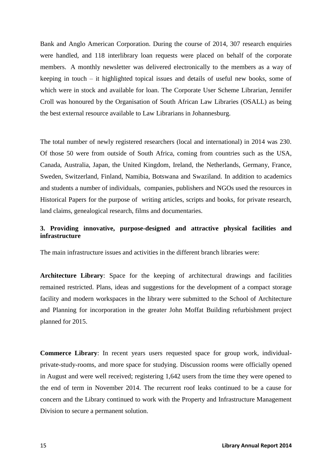Bank and Anglo American Corporation. During the course of 2014, 307 research enquiries were handled, and 118 interlibrary loan requests were placed on behalf of the corporate members. A monthly newsletter was delivered electronically to the members as a way of keeping in touch – it highlighted topical issues and details of useful new books, some of which were in stock and available for loan. The Corporate User Scheme Librarian, Jennifer Croll was honoured by the Organisation of South African Law Libraries (OSALL) as being the best external resource available to Law Librarians in Johannesburg.

The total number of newly registered researchers (local and international) in 2014 was 230. Of those 50 were from outside of South Africa, coming from countries such as the USA, Canada, Australia, Japan, the United Kingdom, Ireland, the Netherlands, Germany, France, Sweden, Switzerland, Finland, Namibia, Botswana and Swaziland. In addition to academics and students a number of individuals, companies, publishers and NGOs used the resources in Historical Papers for the purpose of writing articles, scripts and books, for private research, land claims, genealogical research, films and documentaries.

## **3. Providing innovative, purpose-designed and attractive physical facilities and infrastructure**

The main infrastructure issues and activities in the different branch libraries were:

**Architecture Library**: Space for the keeping of architectural drawings and facilities remained restricted. Plans, ideas and suggestions for the development of a compact storage facility and modern workspaces in the library were submitted to the School of Architecture and Planning for incorporation in the greater John Moffat Building refurbishment project planned for 2015.

**Commerce Library**: In recent years users requested space for group work, individualprivate-study-rooms, and more space for studying. Discussion rooms were officially opened in August and were well received; registering 1,642 users from the time they were opened to the end of term in November 2014. The recurrent roof leaks continued to be a cause for concern and the Library continued to work with the Property and Infrastructure Management Division to secure a permanent solution.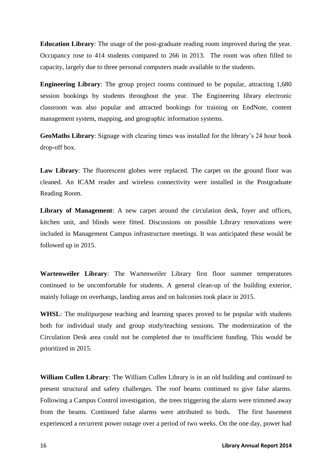**Education Library**: The usage of the post-graduate reading room improved during the year. Occupancy rose to 414 students compared to 266 in 2013. The room was often filled to capacity, largely due to three personal computers made available to the students.

**Engineering Library**: The group project rooms continued to be popular, attracting 1,680 session bookings by students throughout the year. The Engineering library electronic classroom was also popular and attracted bookings for training on EndNote, content management system, mapping, and geographic information systems.

**GeoMaths Library**: Signage with clearing times was installed for the library's 24 hour book drop-off box.

Law Library: The fluorescent globes were replaced. The carpet on the ground floor was cleaned. An ICAM reader and wireless connectivity were installed in the Postgraduate Reading Room.

**Library of Management**: A new carpet around the circulation desk, foyer and offices, kitchen unit, and blinds were fitted. Discussions on possible Library renovations were included in Management Campus infrastructure meetings. It was anticipated these would be followed up in 2015.

**Wartenweiler Library**: The Wartenweiler Library first floor summer temperatures continued to be uncomfortable for students. A general clean-up of the building exterior, mainly foliage on overhangs, landing areas and on balconies took place in 2015.

**WHSL**: The multipurpose teaching and learning spaces proved to be popular with students both for individual study and group study/teaching sessions. The modernization of the Circulation Desk area could not be completed due to insufficient funding. This would be prioritized in 2015.

**William Cullen Library**: The William Cullen Library is in an old building and continued to present structural and safety challenges. The roof beams continued to give false alarms. Following a Campus Control investigation, the trees triggering the alarm were trimmed away from the beams. Continued false alarms were attributed to birds. The first basement experienced a recurrent power outage over a period of two weeks. On the one day, power had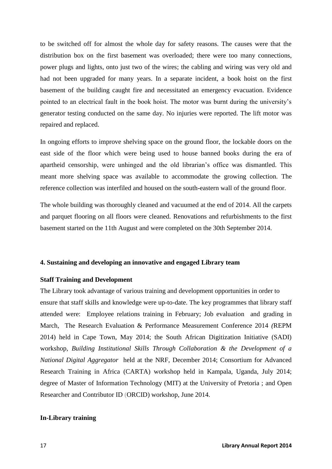to be switched off for almost the whole day for safety reasons. The causes were that the distribution box on the first basement was overloaded; there were too many connections, power plugs and lights, onto just two of the wires; the cabling and wiring was very old and had not been upgraded for many years. In a separate incident, a book hoist on the first basement of the building caught fire and necessitated an emergency evacuation. Evidence pointed to an electrical fault in the book hoist. The motor was burnt during the university's generator testing conducted on the same day. No injuries were reported. The lift motor was repaired and replaced.

In ongoing efforts to improve shelving space on the ground floor, the lockable doors on the east side of the floor which were being used to house banned books during the era of apartheid censorship, were unhinged and the old librarian's office was dismantled. This meant more shelving space was available to accommodate the growing collection. The reference collection was interfiled and housed on the south-eastern wall of the ground floor.

The whole building was thoroughly cleaned and vacuumed at the end of 2014. All the carpets and parquet flooring on all floors were cleaned. Renovations and refurbishments to the first basement started on the 11th August and were completed on the 30th September 2014.

#### **4. Sustaining and developing an innovative and engaged Library team**

#### **Staff Training and Development**

The Library took advantage of various training and development opportunities in order to ensure that staff skills and knowledge were up-to-date. The key programmes that library staff attended were: Employee relations training in February; Job evaluation and grading in March, The Research Evaluation & Performance Measurement Conference 2014 *(*REPM 2014) held in Cape Town, May 2014; the South African Digitization Initiative (SADI) workshop, *Building Institutional Skills Through Collaboration & the Development of a National Digital Aggregator* held at the NRF, December 2014; Consortium for Advanced Research Training in Africa (CARTA) workshop held in Kampala, Uganda, July 2014; degree of Master of Information Technology (MIT) at the University of Pretoria ; and Open Researcher and Contributor ID (ORCID) workshop, June 2014.

#### **In-Library training**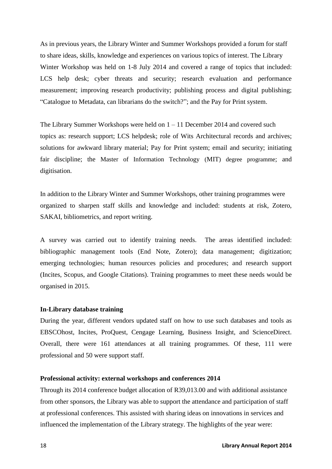As in previous years, the Library Winter and Summer Workshops provided a forum for staff to share ideas, skills, knowledge and experiences on various topics of interest. The Library Winter Workshop was held on 1-8 July 2014 and covered a range of topics that included: LCS help desk; cyber threats and security; research evaluation and performance measurement; improving research productivity; publishing process and digital publishing; "Catalogue to Metadata, can librarians do the switch?"; and the Pay for Print system.

The Library Summer Workshops were held on 1 – 11 December 2014 and covered such topics as: research support; LCS helpdesk; role of Wits Architectural records and archives; solutions for awkward library material; Pay for Print system; email and security; initiating fair discipline; the Master of Information Technology (MIT) degree programme; and digitisation.

In addition to the Library Winter and Summer Workshops, other training programmes were organized to sharpen staff skills and knowledge and included: students at risk, Zotero, SAKAI, bibliometrics, and report writing.

A survey was carried out to identify training needs. The areas identified included: bibliographic management tools (End Note, Zotero); data management; digitization; emerging technologies; human resources policies and procedures; and research support (Incites, Scopus, and Google Citations). Training programmes to meet these needs would be organised in 2015.

#### **In-Library database training**

During the year, different vendors updated staff on how to use such databases and tools as EBSCOhost, Incites, ProQuest, Cengage Learning, Business Insight, and ScienceDirect. Overall, there were 161 attendances at all training programmes. Of these, 111 were professional and 50 were support staff.

#### **Professional activity: external workshops and conferences 2014**

Through its 2014 conference budget allocation of R39,013.00 and with additional assistance from other sponsors, the Library was able to support the attendance and participation of staff at professional conferences. This assisted with sharing ideas on innovations in services and influenced the implementation of the Library strategy. The highlights of the year were: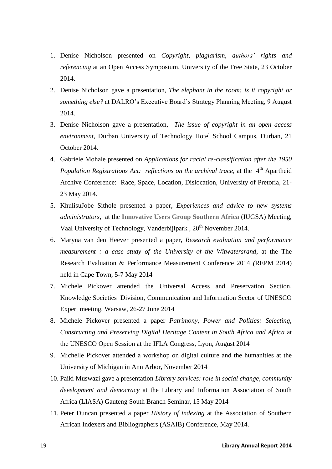- 1. Denise Nicholson presented on *Copyright, plagiarism, authors' rights and referencing* at an Open Access Symposium, University of the Free State, 23 October 2014.
- 2. Denise Nicholson gave a presentation, *The elephant in the room: is it copyright or something else?* at DALRO's Executive Board's Strategy Planning Meeting, 9 August 2014.
- 3. Denise Nicholson gave a presentation, *The issue of copyright in an open access environment*, Durban University of Technology Hotel School Campus, Durban, 21 October 2014.
- 4. Gabriele Mohale presented on *Applications for racial re-classification after the 1950 Population Registrations Act: reflections on the archival trace, at the 4<sup>th</sup> Apartheid* Archive Conference: Race, Space, Location, Dislocation, University of Pretoria, 21- 23 May 2014.
- 5. KhulisuJobe Sithole presented a paper, *Experiences and advice to new systems administrators*, at the **Innovative Users Group Southern Africa** (IUGSA) Meeting, Vaal University of Technology, Vanderbijlpark, 20<sup>th</sup> November 2014.
- 6. Maryna van den Heever presented a paper, *Research evaluation and performance measurement : a case study of the University of the Witwatersrand*, at the The Research Evaluation & Performance Measurement Conference 2014 *(*REPM 2014) held in Cape Town, 5-7 May 2014
- 7. Michele Pickover attended the Universal Access and Preservation Section, Knowledge Societies Division, Communication and Information Sector of UNESCO Expert meeting, Warsaw, 26-27 June 2014
- 8. Michele Pickover presented a paper *Patrimony, Power and Politics: Selecting, Constructing and Preserving Digital Heritage Content in South Africa and Africa* at the UNESCO Open Session at the IFLA Congress, Lyon, August 2014
- 9. Michelle Pickover attended a workshop on digital culture and the humanities at the University of Michigan in Ann Arbor, November 2014
- 10. Paiki Muswazi gave a presentation *Library services: role in social change, community development and democracy* at the Library and Information Association of South Africa (LIASA) Gauteng South Branch Seminar, 15 May 2014
- 11. Peter Duncan presented a paper *History of indexing* at the Association of Southern African Indexers and Bibliographers (ASAIB) Conference, May 2014.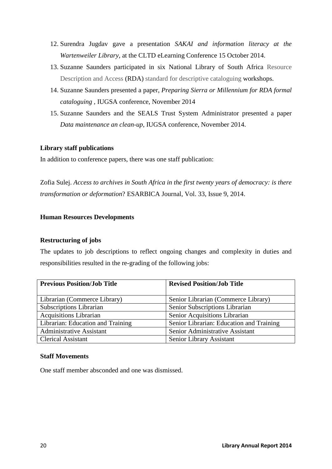- 12. Surendra Jugdav gave a presentation *SAKAI and information literacy at the Wartenweiler Library*, at the CLTD eLearning Conference 15 October 2014.
- 13. Suzanne Saunders participated in six National Library of South Africa Resource Description and Access (RDA) standard for descriptive cataloguing workshops.
- 14. Suzanne Saunders presented a paper, *Preparing Sierra or Millennium for RDA formal cataloguing ,* IUGSA conference, November 2014
- 15. Suzanne Saunders and the SEALS Trust System Administrator presented a paper *Data maintenance an clean-up*, IUGSA conference, November 2014.

## **Library staff publications**

In addition to conference papers, there was one staff publication:

Zofia Sulej. *Access to archives in South Africa in the first twenty years of democracy: is there transformation or deformation*? ESARBICA Journal, Vol. 33, Issue 9, 2014.

## **Human Resources Developments**

## **Restructuring of jobs**

The updates to job descriptions to reflect ongoing changes and complexity in duties and responsibilities resulted in the re-grading of the following jobs:

| <b>Previous Position/Job Title</b> | <b>Revised Position/Job Title</b>        |  |  |  |
|------------------------------------|------------------------------------------|--|--|--|
|                                    |                                          |  |  |  |
| Librarian (Commerce Library)       | Senior Librarian (Commerce Library)      |  |  |  |
| Subscriptions Librarian            | Senior Subscriptions Librarian           |  |  |  |
| <b>Acquisitions Librarian</b>      | Senior Acquisitions Librarian            |  |  |  |
| Librarian: Education and Training  | Senior Librarian: Education and Training |  |  |  |
| <b>Administrative Assistant</b>    | Senior Administrative Assistant          |  |  |  |
| <b>Clerical Assistant</b>          | Senior Library Assistant                 |  |  |  |

## **Staff Movements**

One staff member absconded and one was dismissed.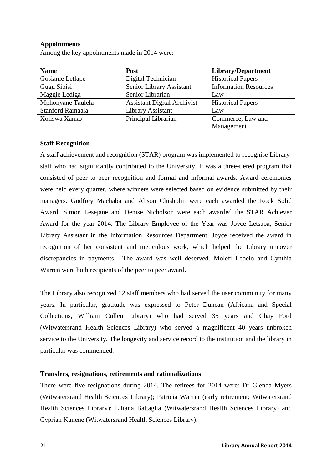## **Appointments**

Among the key appointments made in 2014 were:

| <b>Name</b>             | Post                               | Library/Department           |
|-------------------------|------------------------------------|------------------------------|
| Gosiame Letlape         | Digital Technician                 | <b>Historical Papers</b>     |
| Gugu Sibisi             | Senior Library Assistant           | <b>Information Resources</b> |
| Maggie Lediga           | Senior Librarian                   | Law                          |
| Mphonyane Taulela       | <b>Assistant Digital Archivist</b> | <b>Historical Papers</b>     |
| <b>Stanford Ramaala</b> | Library Assistant                  | Law                          |
| Xoliswa Xanko           | Principal Librarian                | Commerce, Law and            |
|                         |                                    | Management                   |

## **Staff Recognition**

A staff achievement and recognition (STAR) program was implemented to recognise Library staff who had significantly contributed to the University. It was a three-tiered program that consisted of peer to peer recognition and formal and informal awards. Award ceremonies were held every quarter, where winners were selected based on evidence submitted by their managers. Godfrey Machaba and Alison Chisholm were each awarded the Rock Solid Award. Simon Lesejane and Denise Nicholson were each awarded the STAR Achiever Award for the year 2014. The Library Employee of the Year was Joyce Letsapa, Senior Library Assistant in the Information Resources Department. Joyce received the award in recognition of her consistent and meticulous work, which helped the Library uncover discrepancies in payments. The award was well deserved. Molefi Lebelo and Cynthia Warren were both recipients of the peer to peer award.

The Library also recognized 12 staff members who had served the user community for many years. In particular, gratitude was expressed to Peter Duncan (Africana and Special Collections, William Cullen Library) who had served 35 years and Chay Ford (Witwatersrand Health Sciences Library) who served a magnificent 40 years unbroken service to the University. The longevity and service record to the institution and the library in particular was commended.

#### **Transfers, resignations, retirements and rationalizations**

There were five resignations during 2014. The retirees for 2014 were: Dr Glenda Myers (Witwatersrand Health Sciences Library); Patricia Warner (early retirement; Witwatersrand Health Sciences Library); Liliana Battaglia (Witwatersrand Health Sciences Library) and Cyprian Kunene (Witwatersrand Health Sciences Library).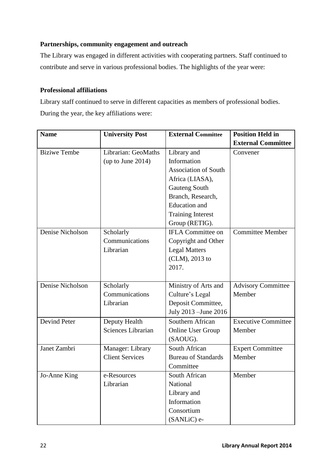## **Partnerships, community engagement and outreach**

The Library was engaged in different activities with cooperating partners. Staff continued to contribute and serve in various professional bodies. The highlights of the year were:

## **Professional affiliations**

Library staff continued to serve in different capacities as members of professional bodies. During the year, the key affiliations were:

| <b>Name</b>         | <b>University Post</b> | <b>External Committee</b>   | <b>Position Held in</b>    |  |
|---------------------|------------------------|-----------------------------|----------------------------|--|
|                     |                        |                             | <b>External Committee</b>  |  |
| <b>Biziwe Tembe</b> | Librarian: GeoMaths    | Library and                 | Convener                   |  |
|                     | (up to June $2014$ )   | Information                 |                            |  |
|                     |                        | <b>Association of South</b> |                            |  |
|                     |                        | Africa (LIASA),             |                            |  |
|                     |                        | <b>Gauteng South</b>        |                            |  |
|                     |                        | Branch, Research,           |                            |  |
|                     |                        | <b>Education</b> and        |                            |  |
|                     |                        | <b>Training Interest</b>    |                            |  |
|                     |                        | Group (RETIG).              |                            |  |
| Denise Nicholson    | Scholarly              | <b>IFLA Committee on</b>    | Committee Member           |  |
|                     | Communications         | Copyright and Other         |                            |  |
|                     | Librarian              | <b>Legal Matters</b>        |                            |  |
|                     |                        | (CLM), 2013 to              |                            |  |
|                     |                        | 2017.                       |                            |  |
|                     |                        |                             |                            |  |
| Denise Nicholson    | Scholarly              | Ministry of Arts and        | <b>Advisory Committee</b>  |  |
|                     | Communications         | Culture's Legal             | Member                     |  |
|                     | Librarian              | Deposit Committee,          |                            |  |
|                     |                        | July 2013 - June 2016       |                            |  |
| <b>Devind Peter</b> | Deputy Health          | Southern African            | <b>Executive Committee</b> |  |
|                     | Sciences Librarian     | <b>Online User Group</b>    | Member                     |  |
|                     |                        | (SAOUG).                    |                            |  |
| Janet Zambri        | Manager: Library       | South African               | <b>Expert Committee</b>    |  |
|                     | <b>Client Services</b> | <b>Bureau of Standards</b>  | Member                     |  |
|                     |                        | Committee                   |                            |  |
| Jo-Anne King        | e-Resources            | South African               | Member                     |  |
|                     | Librarian              | National                    |                            |  |
|                     |                        | Library and                 |                            |  |
|                     |                        | Information                 |                            |  |
|                     |                        | Consortium                  |                            |  |
|                     |                        | (SANLiC) e-                 |                            |  |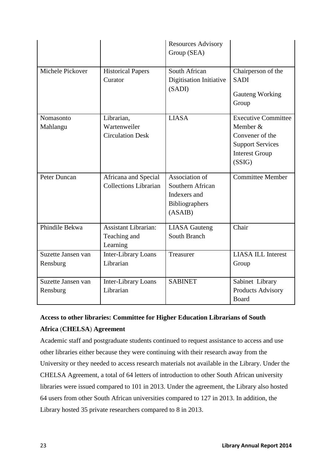|                                |                                                         | <b>Resources Advisory</b><br>Group (SEA)                                        |                                                                                                                         |
|--------------------------------|---------------------------------------------------------|---------------------------------------------------------------------------------|-------------------------------------------------------------------------------------------------------------------------|
| Michele Pickover               | <b>Historical Papers</b><br>Curator                     | South African<br>Digitisation Initiative<br>(SADI)                              | Chairperson of the<br><b>SADI</b><br>Gauteng Working<br>Group                                                           |
| Nomasonto<br>Mahlangu          | Librarian,<br>Wartenweiler<br><b>Circulation Desk</b>   | <b>LIASA</b>                                                                    | <b>Executive Committee</b><br>Member &<br>Convener of the<br><b>Support Services</b><br><b>Interest Group</b><br>(SSIG) |
| Peter Duncan                   | Africana and Special<br><b>Collections Librarian</b>    | Association of<br>Southern African<br>Indexers and<br>Bibliographers<br>(ASAIB) | <b>Committee Member</b>                                                                                                 |
| Phindile Bekwa                 | <b>Assistant Librarian:</b><br>Teaching and<br>Learning | <b>LIASA</b> Gauteng<br>South Branch                                            | Chair                                                                                                                   |
| Suzette Jansen van<br>Rensburg | <b>Inter-Library Loans</b><br>Librarian                 | Treasurer                                                                       | <b>LIASA ILL Interest</b><br>Group                                                                                      |
| Suzette Jansen van<br>Rensburg | Inter-Library Loans<br>Librarian                        | <b>SABINET</b>                                                                  | Sabinet Library<br>Products Advisory<br>Board                                                                           |

## **Access to other libraries: Committee for Higher Education Librarians of South Africa** (**CHELSA**) **Agreement**

Academic staff and postgraduate students continued to request assistance to access and use other libraries either because they were continuing with their research away from the University or they needed to access research materials not available in the Library. Under the CHELSA Agreement, a total of 64 letters of introduction to other South African university libraries were issued compared to 101 in 2013. Under the agreement, the Library also hosted 64 users from other South African universities compared to 127 in 2013. In addition, the Library hosted 35 private researchers compared to 8 in 2013.